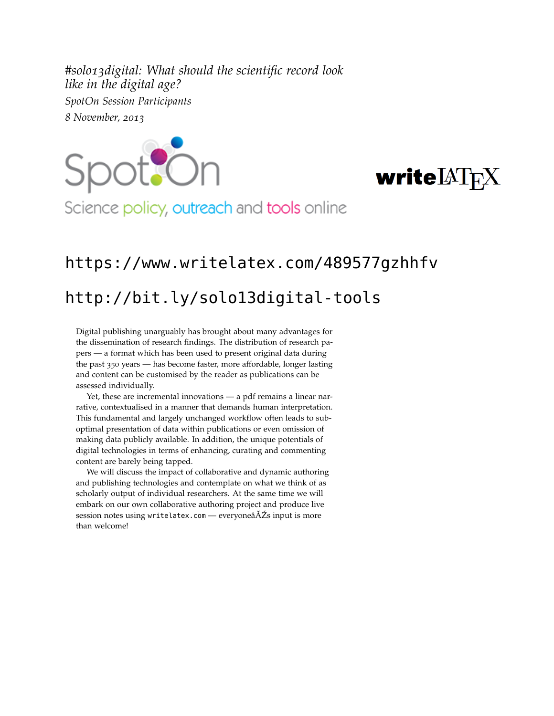*#solo13digital: What should the scientific record look like in the digital age? SpotOn Session Participants 8 November, 2013*





Science policy, outreach and tools online

## <https://www.writelatex.com/489577gzhhfv>

## <http://bit.ly/solo13digital-tools>

Digital publishing unarguably has brought about many advantages for the dissemination of research findings. The distribution of research papers — a format which has been used to present original data during the past 350 years — has become faster, more affordable, longer lasting and content can be customised by the reader as publications can be assessed individually.

Yet, these are incremental innovations — a pdf remains a linear narrative, contextualised in a manner that demands human interpretation. This fundamental and largely unchanged workflow often leads to suboptimal presentation of data within publications or even omission of making data publicly available. In addition, the unique potentials of digital technologies in terms of enhancing, curating and commenting content are barely being tapped.

We will discuss the impact of collaborative and dynamic authoring and publishing technologies and contemplate on what we think of as scholarly output of individual researchers. At the same time we will embark on our own collaborative authoring project and produce live session notes using <writelatex.com> — everyoneâAŽs input is more than welcome!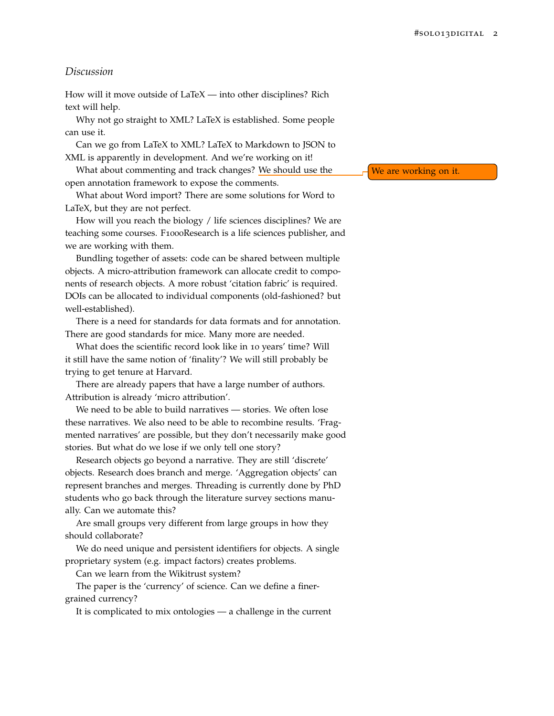## *Discussion*

How will it move outside of LaTeX — into other disciplines? Rich text will help.

Why not go straight to XML? LaTeX is established. Some people can use it.

Can we go from LaTeX to XML? LaTeX to Markdown to JSON to XML is apparently in development. And we're working on it!

What about commenting and track changes? We should use the  $\Box$  We are working on it. open annotation framework to expose the comments.

What about Word import? There are some solutions for Word to LaTeX, but they are not perfect.

How will you reach the biology / life sciences disciplines? We are teaching some courses. F1000Research is a life sciences publisher, and we are working with them.

Bundling together of assets: code can be shared between multiple objects. A micro-attribution framework can allocate credit to components of research objects. A more robust 'citation fabric' is required. DOIs can be allocated to individual components (old-fashioned? but well-established).

There is a need for standards for data formats and for annotation. There are good standards for mice. Many more are needed.

What does the scientific record look like in 10 years' time? Will it still have the same notion of 'finality'? We will still probably be trying to get tenure at Harvard.

There are already papers that have a large number of authors. Attribution is already 'micro attribution'.

We need to be able to build narratives — stories. We often lose these narratives. We also need to be able to recombine results. 'Fragmented narratives' are possible, but they don't necessarily make good stories. But what do we lose if we only tell one story?

Research objects go beyond a narrative. They are still 'discrete' objects. Research does branch and merge. 'Aggregation objects' can represent branches and merges. Threading is currently done by PhD students who go back through the literature survey sections manually. Can we automate this?

Are small groups very different from large groups in how they should collaborate?

We do need unique and persistent identifiers for objects. A single proprietary system (e.g. impact factors) creates problems.

Can we learn from the Wikitrust system?

The paper is the 'currency' of science. Can we define a finergrained currency?

It is complicated to mix ontologies — a challenge in the current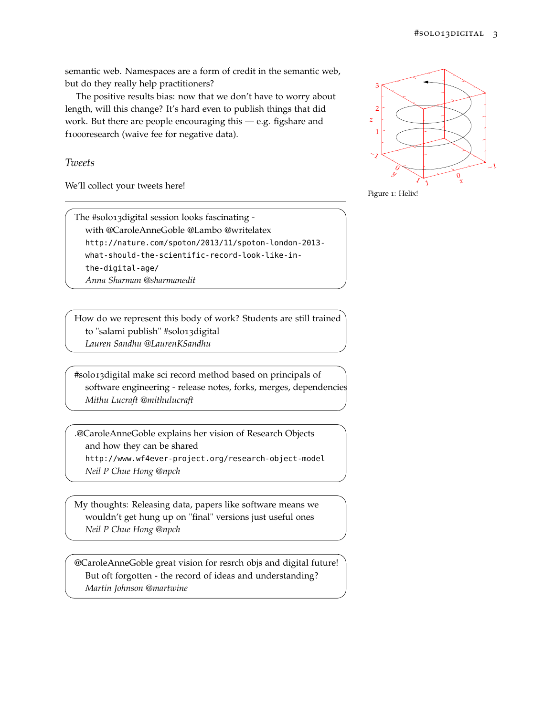semantic web. Namespaces are a form of credit in the semantic web, but do they really help practitioners?

The positive results bias: now that we don't have to worry about length, will this change? It's hard even to publish things that did work. But there are people encouraging this — e.g. figshare and f1000research (waive fee for negative data).

## *Tweets*

We'll collect your tweets here!

The #solo13digital session looks fascinating with @CaroleAnneGoble @Lambo @writelatex http://nature.com/spoton/2013/11/spoton-london-2013 what-should-the-scientific-record-look-like-inthe-digital-age/ *Anna Sharman @sharmanedit*

How do we represent this body of work? Students are still trained to "salami publish" #solo13digital *Lauren Sandhu @LaurenKSandhu*

#solo13digital make sci record method based on principals of software engineering - release notes, forks, merges, dependencies *Mithu Lucraft @mithulucraft*

.@CaroleAnneGoble explains her vision of Research Objects and how they can be shared

http://www.wf4ever-project.org/research-object-model *Neil P Chue Hong @npch*

My thoughts: Releasing data, papers like software means we wouldn't get hung up on "final" versions just useful ones *Neil P Chue Hong @npch*

@CaroleAnneGoble great vision for resrch objs and digital future! But oft forgotten - the record of ideas and understanding? *Martin Johnson @martwine*



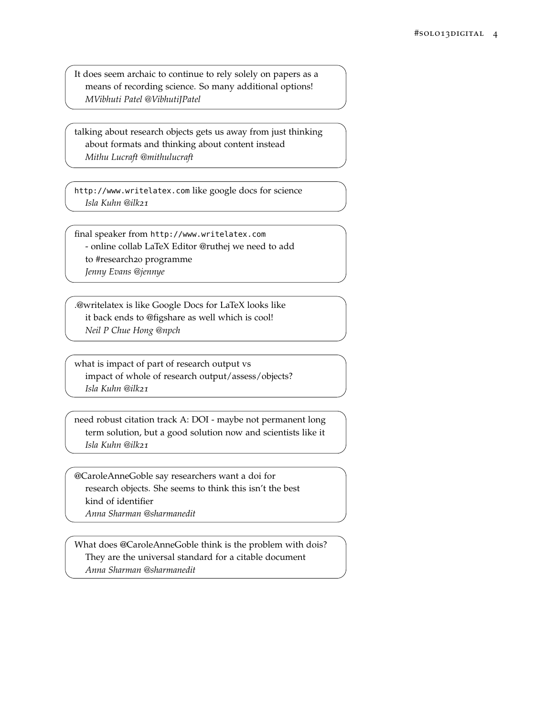It does seem archaic to continue to rely solely on papers as a means of recording science. So many additional options! *MVibhuti Patel @VibhutiJPatel*

talking about research objects gets us away from just thinking about formats and thinking about content instead *Mithu Lucraft @mithulucraft*

http://www.writelatex.com like google docs for science *Isla Kuhn @ilk21*

final speaker from http://www.writelatex.com - online collab LaTeX Editor @ruthej we need to add to #research20 programme *Jenny Evans @jennye*

.@writelatex is like Google Docs for LaTeX looks like it back ends to @figshare as well which is cool! *Neil P Chue Hong @npch*

what is impact of part of research output vs impact of whole of research output/assess/objects? *Isla Kuhn @ilk21*

need robust citation track A: DOI - maybe not permanent long term solution, but a good solution now and scientists like it *Isla Kuhn @ilk21*

@CaroleAnneGoble say researchers want a doi for research objects. She seems to think this isn't the best kind of identifier

*Anna Sharman @sharmanedit*

What does @CaroleAnneGoble think is the problem with dois? They are the universal standard for a citable document *Anna Sharman @sharmanedit*